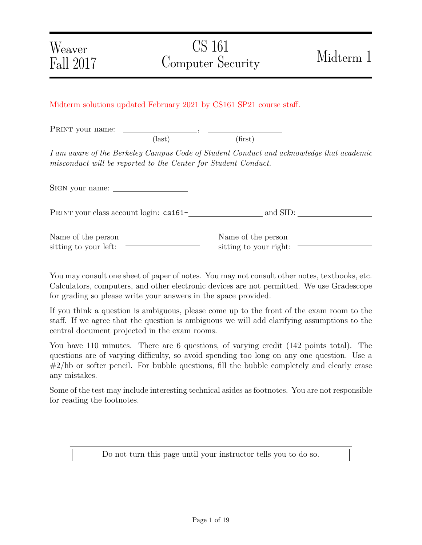### Midterm solutions updated February 2021 by CS161 SP21 course staff.

PRINT your name:  $(\text{last})$  (first)

I am aware of the Berkeley Campus Code of Student Conduct and acknowledge that academic misconduct will be reported to the Center for Student Conduct.

Sign your name:

PRINT your class account login: cs161- and SID:

| Name of the person    |  |
|-----------------------|--|
| sitting to your left: |  |

Name of the person sitting to your right:

You may consult one sheet of paper of notes. You may not consult other notes, textbooks, etc. Calculators, computers, and other electronic devices are not permitted. We use Gradescope for grading so please write your answers in the space provided.

If you think a question is ambiguous, please come up to the front of the exam room to the staff. If we agree that the question is ambiguous we will add clarifying assumptions to the central document projected in the exam rooms.

You have 110 minutes. There are 6 questions, of varying credit (142 points total). The questions are of varying difficulty, so avoid spending too long on any one question. Use a  $\#2/hb$  or softer pencil. For bubble questions, fill the bubble completely and clearly erase any mistakes.

Some of the test may include interesting technical asides as footnotes. You are not responsible for reading the footnotes.

Do not turn this page until your instructor tells you to do so.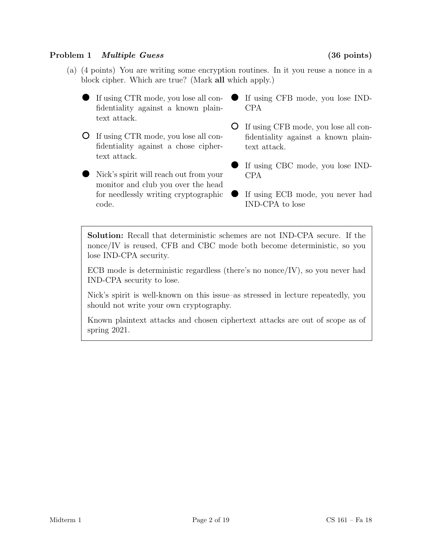# Problem 1 *Multiple Guess* (36 points)

- (a) (4 points) You are writing some encryption routines. In it you reuse a nonce in a block cipher. Which are true? (Mark all which apply.)
	- If using CTR mode, you lose all confidentiality against a known plaintext attack.
	- If using CTR mode, you lose all confidentiality against a chose ciphertext attack.
	- Nick's spirit will reach out from your monitor and club you over the head for needlessly writing cryptographic code.
- If using CFB mode, you lose IND-CPA
- If using CFB mode, you lose all confidentiality against a known plaintext attack.
- If using CBC mode, you lose IND-CPA
- If using ECB mode, you never had IND-CPA to lose

Solution: Recall that deterministic schemes are not IND-CPA secure. If the nonce/IV is reused, CFB and CBC mode both become deterministic, so you lose IND-CPA security.

ECB mode is deterministic regardless (there's no nonce  $\rm IV$ ), so you never had IND-CPA security to lose.

Nick's spirit is well-known on this issue–as stressed in lecture repeatedly, you should not write your own cryptography.

Known plaintext attacks and chosen ciphertext attacks are out of scope as of spring 2021.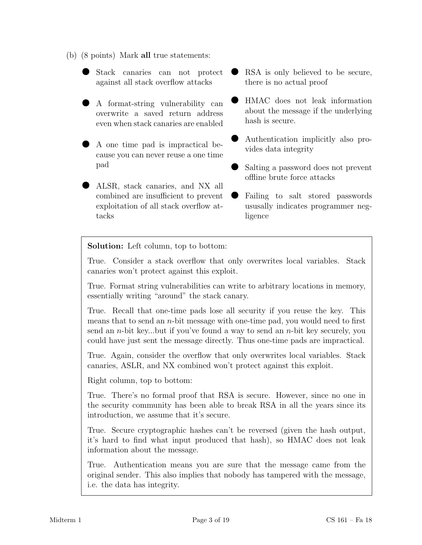- (b) (8 points) Mark all true statements:
	- Stack canaries can not protect against all stack overflow attacks
	- A format-string vulnerability can overwrite a saved return address even when stack canaries are enabled
	- A one time pad is impractical because you can never reuse a one time pad
	- ALSR, stack canaries, and NX all combined are insufficient to prevent exploitation of all stack overflow attacks
- RSA is only believed to be secure, there is no actual proof
- HMAC does not leak information about the message if the underlying hash is secure.
- Authentication implicitly also provides data integrity
- Salting a password does not prevent offline brute force attacks
- Failing to salt stored passwords ususally indicates programmer negligence

Solution: Left column, top to bottom:

True. Consider a stack overflow that only overwrites local variables. Stack canaries won't protect against this exploit.

True. Format string vulnerabilities can write to arbitrary locations in memory, essentially writing "around" the stack canary.

True. Recall that one-time pads lose all security if you reuse the key. This means that to send an  $n$ -bit message with one-time pad, you would need to first send an *n*-bit key...but if you've found a way to send an *n*-bit key securely, you could have just sent the message directly. Thus one-time pads are impractical.

True. Again, consider the overflow that only overwrites local variables. Stack canaries, ASLR, and NX combined won't protect against this exploit.

Right column, top to bottom:

True. There's no formal proof that RSA is secure. However, since no one in the security community has been able to break RSA in all the years since its introduction, we assume that it's secure.

True. Secure cryptographic hashes can't be reversed (given the hash output, it's hard to find what input produced that hash), so HMAC does not leak information about the message.

True. Authentication means you are sure that the message came from the original sender. This also implies that nobody has tampered with the message, i.e. the data has integrity.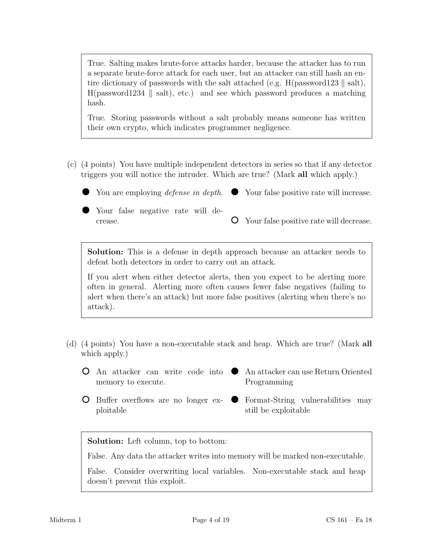True. Salting makes brute-force attacks harder, because the attacker has to run a separate brute-force attack for each user, but an attacker can still hash an entire dictionary of passwords with the salt attached (e.g. H(password123  $\parallel$  salt),  $H(password1234 \mid salt)$ , etc.) and see which password produces a matching hash.

True. Storing passwords without a salt probably means someone has written their own crypto, which indicates programmer negligence.

(c) (4 points) You have multiple independent detectors in series so that if any detector triggers you will notice the intruder. Which are true? (Mark all which apply.)

You are employing *defense in depth*.  $\bullet$  Your false positive rate will increase.

Your false negative rate will decrease.

Your false positive rate will decrease.

Solution: This is a defense in depth approach because an attacker needs to defeat both detectors in order to carry out an attack.

If you alert when either detector alerts, then you expect to be alerting more often in general. Alerting more often causes fewer false negatives (failing to alert when there's an attack) but more false positives (alerting when there's no attack).

- (d) (4 points) You have a non-executable stack and heap. Which are true? (Mark all which apply.)
	- An attacker can write code into An attacker can use Return Oriented  $\bullet$ memory to execute. Programming
	- Buffer overflows are no longer exploitable
- Format-String vulnerabilities may  $\bullet$ still be exploitable

Solution: Left column, top to bottom:

False. Any data the attacker writes into memory will be marked non-executable.

False. Consider overwriting local variables. Non-executable stack and heap doesn't prevent this exploit.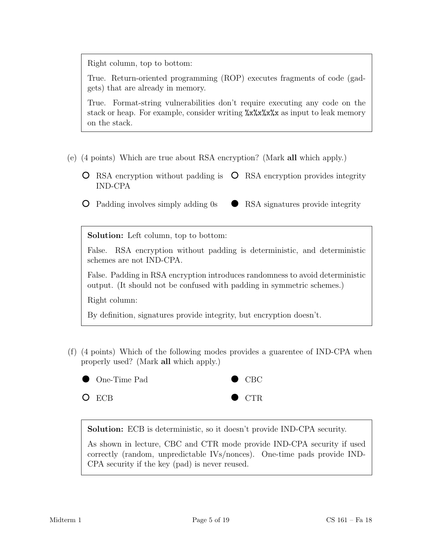Right column, top to bottom:

True. Return-oriented programming (ROP) executes fragments of code (gadgets) that are already in memory.

True. Format-string vulnerabilities don't require executing any code on the stack or heap. For example, consider writing  $\frac{\sqrt{x}}{x} \frac{\sqrt{x}}{x}$  as input to leak memory on the stack.

- (e) (4 points) Which are true about RSA encryption? (Mark all which apply.)
	- RSA encryption without padding is  $\circ$  RSA encryption provides integrity IND-CPA
	- Padding involves simply adding 0s RSA signatures provide integrity  $\bullet$

Solution: Left column, top to bottom:

False. RSA encryption without padding is deterministic, and deterministic schemes are not IND-CPA.

False. Padding in RSA encryption introduces randomness to avoid deterministic output. (It should not be confused with padding in symmetric schemes.)

Right column:

By definition, signatures provide integrity, but encryption doesn't.

(f) (4 points) Which of the following modes provides a guarentee of IND-CPA when properly used? (Mark all which apply.)



Solution: ECB is deterministic, so it doesn't provide IND-CPA security.

As shown in lecture, CBC and CTR mode provide IND-CPA security if used correctly (random, unpredictable IVs/nonces). One-time pads provide IND-CPA security if the key (pad) is never reused.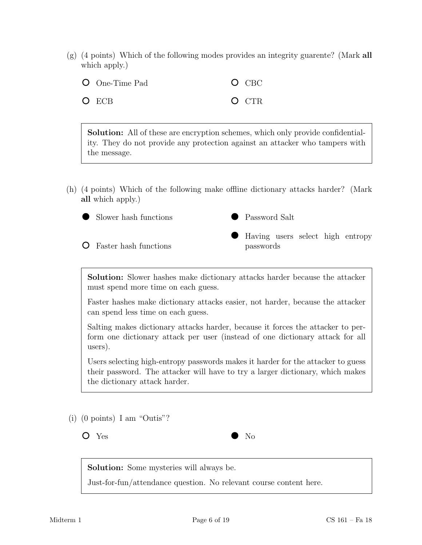(g) (4 points) Which of the following modes provides an integrity guarente? (Mark all which apply.)

| <b>O</b> One-Time Pad | $O$ CBC |
|-----------------------|---------|
| $O$ ECB               | $O$ CTR |

Solution: All of these are encryption schemes, which only provide confidentiality. They do not provide any protection against an attacker who tampers with the message.

(h) (4 points) Which of the following make offline dictionary attacks harder? (Mark all which apply.)



Faster hash functions



Having users select high entropy passwords

Solution: Slower hashes make dictionary attacks harder because the attacker must spend more time on each guess.

Faster hashes make dictionary attacks easier, not harder, because the attacker can spend less time on each guess.

Salting makes dictionary attacks harder, because it forces the attacker to perform one dictionary attack per user (instead of one dictionary attack for all users).

Users selecting high-entropy passwords makes it harder for the attacker to guess their password. The attacker will have to try a larger dictionary, which makes the dictionary attack harder.

(i) (0 points) I am "Outis"?

Yes No

Solution: Some mysteries will always be.

Just-for-fun/attendance question. No relevant course content here.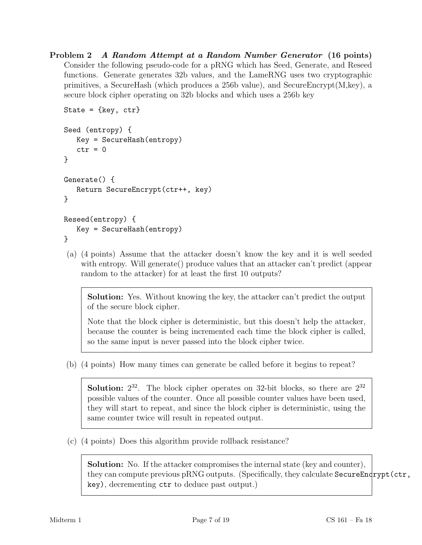Problem 2 A Random Attempt at a Random Number Generator (16 points) Consider the following pseudo-code for a pRNG which has Seed, Generate, and Reseed functions. Generate generates 32b values, and the LameRNG uses two cryptographic primitives, a SecureHash (which produces a 256b value), and SecureEncrypt $(M, \text{key})$ , a secure block cipher operating on 32b blocks and which uses a 256b key

```
State = \{ \text{key}, \text{ctr} \}Seed (entropy) {
   Key = SecureHash(entropy)
   ctr = 0}
Generate() {
   Return SecureEncrypt(ctr++, key)
}
Reseed(entropy) {
   Key = SecureHash(entropy)
```

```
}
```
(a) (4 points) Assume that the attacker doesn't know the key and it is well seeded with entropy. Will generate() produce values that an attacker can't predict (appear random to the attacker) for at least the first 10 outputs?

Solution: Yes. Without knowing the key, the attacker can't predict the output of the secure block cipher.

Note that the block cipher is deterministic, but this doesn't help the attacker, because the counter is being incremented each time the block cipher is called, so the same input is never passed into the block cipher twice.

(b) (4 points) How many times can generate be called before it begins to repeat?

**Solution:**  $2^{32}$ . The block cipher operates on 32-bit blocks, so there are  $2^{32}$ possible values of the counter. Once all possible counter values have been used, they will start to repeat, and since the block cipher is deterministic, using the same counter twice will result in repeated output.

(c) (4 points) Does this algorithm provide rollback resistance?

Solution: No. If the attacker compromises the internal state (key and counter), they can compute previous pRNG outputs. (Specifically, they calculate SecureEndrypt(ctr, key), decrementing ctr to deduce past output.)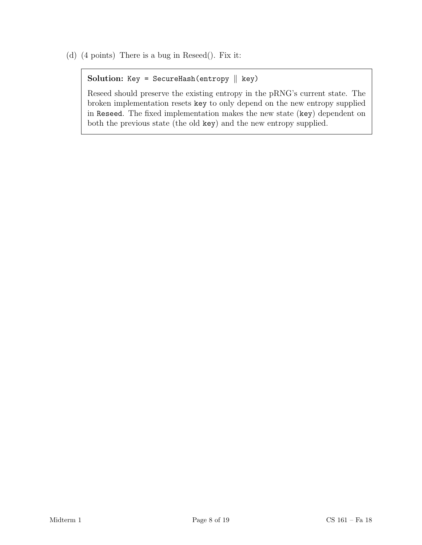(d) (4 points) There is a bug in Reseed(). Fix it:

```
Solution: Key = SecureHash(entropy \parallel key)
```
Reseed should preserve the existing entropy in the pRNG's current state. The broken implementation resets key to only depend on the new entropy supplied in Reseed. The fixed implementation makes the new state (key) dependent on both the previous state (the old key) and the new entropy supplied.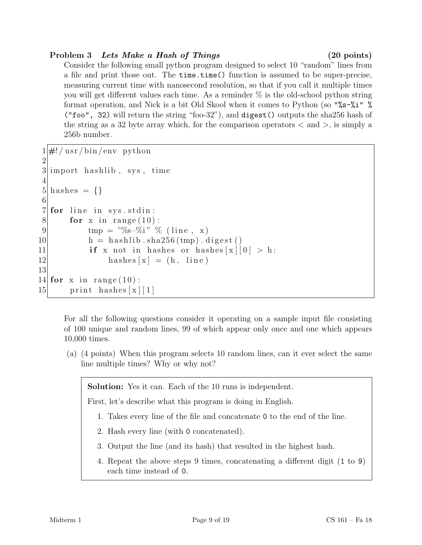# Problem 3 Lets Make a Hash of Things (20 points)

Consider the following small python program designed to select 10 "random" lines from a file and print those out. The time.time() function is assumed to be super-precise, measuring current time with nanosecond resolution, so that if you call it multiple times you will get different values each time. As a reminder % is the old-school python string format operation, and Nick is a bit Old Skool when it comes to Python (so "%s-%i" % ("foo", 32) will return the string "foo-32"), and digest() outputs the sha256 hash of the string as a 32 byte array which, for the comparison operators  $\langle$  and  $\rangle$ , is simply a 256b number.

```
1 \#! / \text{usr/bin/env} python
 2
 3 import has hlib, sys, time
 4
 5 hashes = \{\}6
 7 for line in sys.stdin:
 8 for x in range (10):
 9 \text{tmp} = \sqrt[15]{6} - \frac{\sqrt{6}}{1} " \% (line, x)
10 h = h as hlib . sha 256 \, (\text{tmp}) . digest ()
11 if x not in hashes or hashes [x][0] > h:
12 hashes [x] = (h, \text{ line})13
14 for x in range (10):
15 print hashes x \mid 1
```
For all the following questions consider it operating on a sample input file consisting of 100 unique and random lines, 99 of which appear only once and one which appears 10,000 times.

(a) (4 points) When this program selects 10 random lines, can it ever select the same line multiple times? Why or why not?

Solution: Yes it can. Each of the 10 runs is independent.

First, let's describe what this program is doing in English.

- 1. Takes every line of the file and concatenate 0 to the end of the line.
- 2. Hash every line (with 0 concatenated).
- 3. Output the line (and its hash) that resulted in the highest hash.
- 4. Repeat the above steps 9 times, concatenating a different digit (1 to 9) each time instead of 0.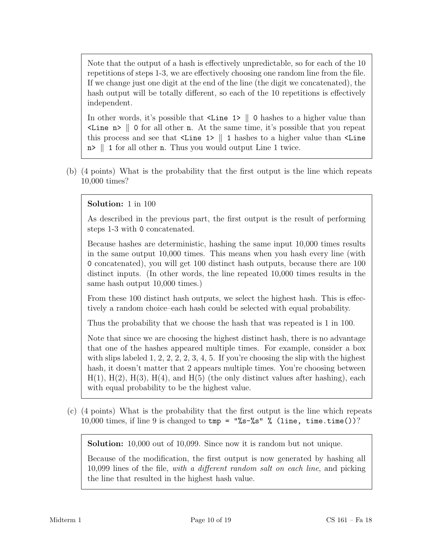Note that the output of a hash is effectively unpredictable, so for each of the 10 repetitions of steps 1-3, we are effectively choosing one random line from the file. If we change just one digit at the end of the line (the digit we concatenated), the hash output will be totally different, so each of the 10 repetitions is effectively independent.

In other words, it's possible that  $\langle$ Line 1> || 0 hashes to a higher value than  $\leq$  Line n> || 0 for all other n. At the same time, it's possible that you repeat this process and see that  $\text{Line 1} > || 1$  hashes to a higher value than  $\text{Line}$  $n > \| 1$  for all other n. Thus you would output Line 1 twice.

(b) (4 points) What is the probability that the first output is the line which repeats 10,000 times?

# Solution: 1 in 100

As described in the previous part, the first output is the result of performing steps 1-3 with 0 concatenated.

Because hashes are deterministic, hashing the same input 10,000 times results in the same output 10,000 times. This means when you hash every line (with 0 concatenated), you will get 100 distinct hash outputs, because there are 100 distinct inputs. (In other words, the line repeated 10,000 times results in the same hash output 10,000 times.)

From these 100 distinct hash outputs, we select the highest hash. This is effectively a random choice–each hash could be selected with equal probability.

Thus the probability that we choose the hash that was repeated is 1 in 100.

Note that since we are choosing the highest distinct hash, there is no advantage that one of the hashes appeared multiple times. For example, consider a box with slips labeled 1, 2, 2, 2, 3, 4, 5. If you're choosing the slip with the highest hash, it doesn't matter that 2 appears multiple times. You're choosing between  $H(1)$ ,  $H(2)$ ,  $H(3)$ ,  $H(4)$ , and  $H(5)$  (the only distinct values after hashing), each with equal probability to be the highest value.

(c) (4 points) What is the probability that the first output is the line which repeats 10,000 times, if line 9 is changed to  $tmp = "\&s-\&s"$   $\%$  (line, time.time())?

Solution: 10,000 out of 10,099. Since now it is random but not unique.

Because of the modification, the first output is now generated by hashing all 10,099 lines of the file, with a different random salt on each line, and picking the line that resulted in the highest hash value.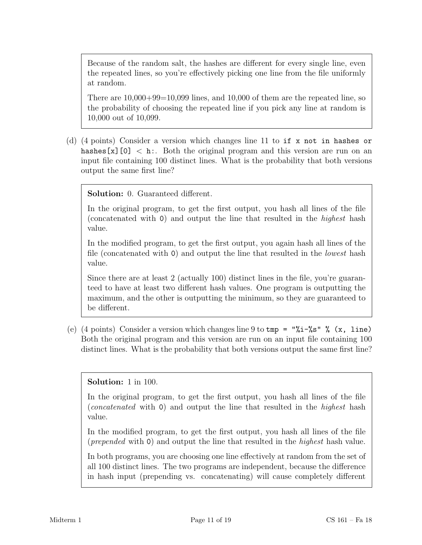Because of the random salt, the hashes are different for every single line, even the repeated lines, so you're effectively picking one line from the file uniformly at random.

There are  $10,000+99=10,099$  lines, and  $10,000$  of them are the repeated line, so the probability of choosing the repeated line if you pick any line at random is 10,000 out of 10,099.

(d) (4 points) Consider a version which changes line 11 to if x not in hashes or hashes [x][0]  $\lt$  h:. Both the original program and this version are run on an input file containing 100 distinct lines. What is the probability that both versions output the same first line?

Solution: 0. Guaranteed different.

In the original program, to get the first output, you hash all lines of the file (concatenated with 0) and output the line that resulted in the highest hash value.

In the modified program, to get the first output, you again hash all lines of the file (concatenated with 0) and output the line that resulted in the lowest hash value.

Since there are at least 2 (actually 100) distinct lines in the file, you're guaranteed to have at least two different hash values. One program is outputting the maximum, and the other is outputting the minimum, so they are guaranteed to be different.

(e) (4 points) Consider a version which changes line 9 to  $\text{tmp} = \frac{\sqrt{1-\%s}}{\sqrt{5}}$  (x, line) Both the original program and this version are run on an input file containing 100 distinct lines. What is the probability that both versions output the same first line?

Solution: 1 in 100.

In the original program, to get the first output, you hash all lines of the file (concatenated with 0) and output the line that resulted in the highest hash value.

In the modified program, to get the first output, you hash all lines of the file (prepended with 0) and output the line that resulted in the highest hash value.

In both programs, you are choosing one line effectively at random from the set of all 100 distinct lines. The two programs are independent, because the difference in hash input (prepending vs. concatenating) will cause completely different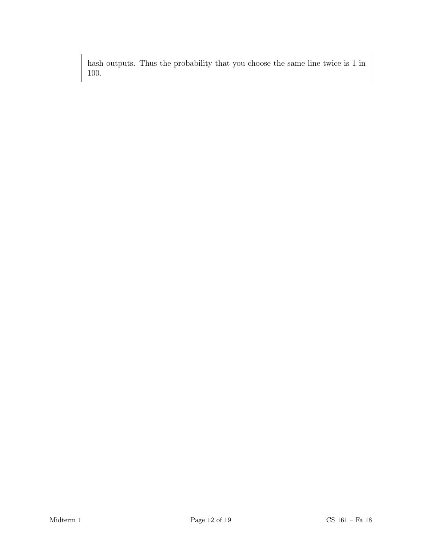hash outputs. Thus the probability that you choose the same line twice is 1 in 100.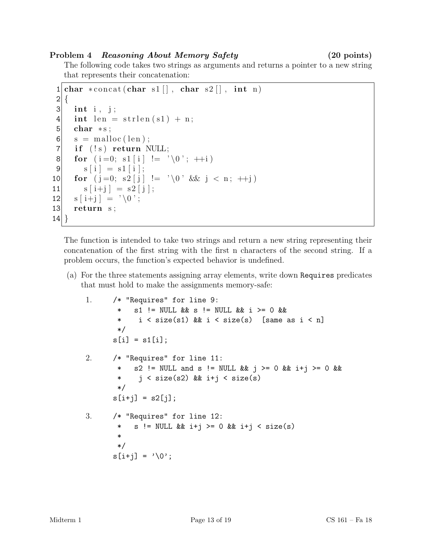## Problem 4 Reasoning About Memory Safety (20 points)

The following code takes two strings as arguments and returns a pointer to a new string that represents their concatenation:

```
1 | char * concat(char s1[], char s2[], int n)2 \mid \{3 int i, j;
4 int len = strlen(s1) + n;5 char * s;
6 \mid s = \text{malloc}(\text{len});7 if (!s) return NULL;
8 for ( i =0; s1 [ i ] != ' \0 ' ; ++i )
9 s[i] = s1[i];10 for (j=0; s2 [j] := ' \ 0; \ \&\&\ j < n; ++j)11 s[i+j] = s2[j];12 s[i+j] = ' \ 0';13 return s;
14 }
```
The function is intended to take two strings and return a new string representing their concatenation of the first string with the first n characters of the second string. If a problem occurs, the function's expected behavior is undefined.

(a) For the three statements assigning array elements, write down Requires predicates that must hold to make the assignments memory-safe:

```
1. /* "Requires" for line 9:
       * s1 != NULL && s != NULL && i >= 0 &&
       * i < size(s1) && i < size(s) [same as i < n]
       */
      s[i] = s1[i];2. /* "Requires" for line 11:
       * s2 != NULL and s != NULL && j >= 0 && i+j >= 0 &&
       * j < size(s2) && i+j < size(s)
       */
      s[i+j] = s2[j];3. /* "Requires" for line 12:
       * s != NULL && i+j >= 0 && i+j < size(s)
       *
       */
      s[i+j] = '0';
```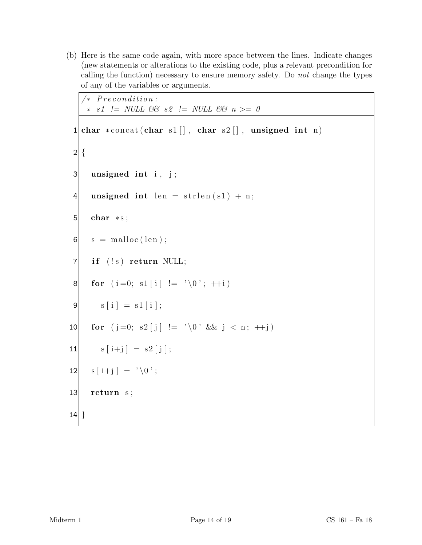(b) Here is the same code again, with more space between the lines. Indicate changes (new statements or alterations to the existing code, plus a relevant precondition for calling the function) necessary to ensure memory safety. Do not change the types of any of the variables or arguments.

```
/* Precondition:∗ s1 != NULL && s2 != NULL && n >= 0
    ∗/
1 | char * concat(char s1[], char s2[], unsigned int n)
2 \mid \{3 unsigned int i, j;
4 unsigned int len = strlen(s1) + n;5 char * s;
6 \mid s = \text{malloc}(\text{len});7 if (!s) return NULL;
8 for (i=0; s1[i] := '0'; ++i)|9| s [i] = s1 [i];
10 for (j=0; s2 [j] := ' \ 0' \ \&\&\ j < n; ++j)11 s[i+j] = s2[j];12 |s[i+j] = ' \setminus 0';13 return s;
14}
```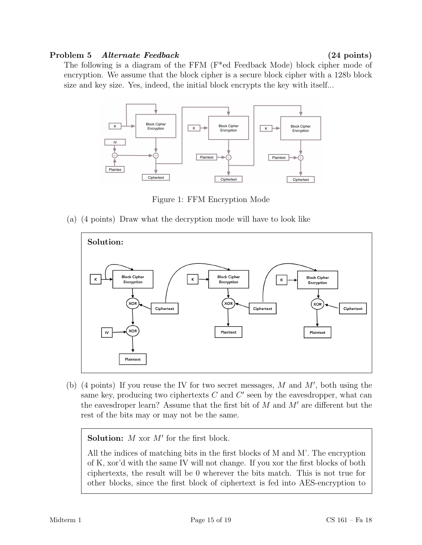### Problem 5 Alternate Feedback (24 points)

The following is a diagram of the FFM (F\*ed Feedback Mode) block cipher mode of encryption. We assume that the block cipher is a secure block cipher with a 128b block size and key size. Yes, indeed, the initial block encrypts the key with itself...



Figure 1: FFM Encryption Mode

(a) (4 points) Draw what the decryption mode will have to look like



(b) (4 points) If you reuse the IV for two secret messages,  $M$  and  $M'$ , both using the same key, producing two ciphertexts  $C$  and  $C'$  seen by the eavesdropper, what can the eavesdroper learn? Assume that the first bit of  $M$  and  $M'$  are different but the rest of the bits may or may not be the same.

**Solution:**  $M$  xor  $M'$  for the first block.

All the indices of matching bits in the first blocks of M and M'. The encryption of K, xor'd with the same IV will not change. If you xor the first blocks of both ciphertexts, the result will be 0 wherever the bits match. This is not true for other blocks, since the first block of ciphertext is fed into AES-encryption to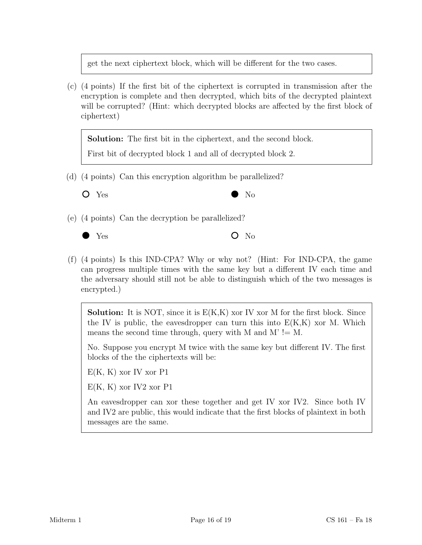get the next ciphertext block, which will be different for the two cases.

(c) (4 points) If the first bit of the ciphertext is corrupted in transmission after the encryption is complete and then decrypted, which bits of the decrypted plaintext will be corrupted? (Hint: which decrypted blocks are affected by the first block of ciphertext)

Solution: The first bit in the ciphertext, and the second block.

First bit of decrypted block 1 and all of decrypted block 2.

(d) (4 points) Can this encryption algorithm be parallelized?



Yes No

(e) (4 points) Can the decryption be parallelized?



 $\bullet$  Yes  $\bullet$  No

(f) (4 points) Is this IND-CPA? Why or why not? (Hint: For IND-CPA, the game can progress multiple times with the same key but a different IV each time and the adversary should still not be able to distinguish which of the two messages is encrypted.)

**Solution:** It is NOT, since it is  $E(K,K)$  xor IV xor M for the first block. Since the IV is public, the eavesdropper can turn this into  $E(K,K)$  xor M. Which means the second time through, query with M and M'  $!=$  M.

No. Suppose you encrypt M twice with the same key but different IV. The first blocks of the the ciphertexts will be:

 $E(K, K)$  xor IV xor P1

 $E(K, K)$  xor IV2 xor P1

An eavesdropper can xor these together and get IV xor IV2. Since both IV and IV2 are public, this would indicate that the first blocks of plaintext in both messages are the same.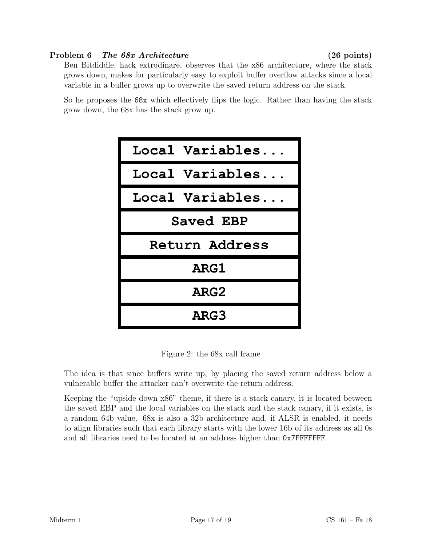# Problem 6 The 68x Architecture (26 points)

Ben Bitdiddle, hack extrodinare, observes that the x86 architecture, where the stack grows down, makes for particularly easy to exploit buffer overflow attacks since a local variable in a buffer grows up to overwrite the saved return address on the stack.

So he proposes the 68x which effectively flips the logic. Rather than having the stack grow down, the 68x has the stack grow up.



Figure 2: the 68x call frame

The idea is that since buffers write up, by placing the saved return address below a vulnerable buffer the attacker can't overwrite the return address.

Keeping the "upside down x86" theme, if there is a stack canary, it is located between the saved EBP and the local variables on the stack and the stack canary, if it exists, is a random 64b value. 68x is also a 32b architecture and, if ALSR is enabled, it needs to align libraries such that each library starts with the lower 16b of its address as all 0s and all libraries need to be located at an address higher than 0x7FFFFFFF.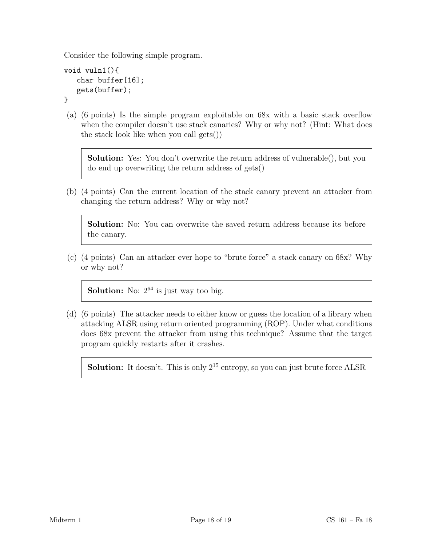Consider the following simple program.

```
void vuln1(){
   char buffer[16];
   gets(buffer);
```
- }
- (a) (6 points) Is the simple program exploitable on 68x with a basic stack overflow when the compiler doesn't use stack canaries? Why or why not? (Hint: What does the stack look like when you call gets())

Solution: Yes: You don't overwrite the return address of vulnerable(), but you do end up overwriting the return address of gets()

(b) (4 points) Can the current location of the stack canary prevent an attacker from changing the return address? Why or why not?

Solution: No: You can overwrite the saved return address because its before the canary.

(c) (4 points) Can an attacker ever hope to "brute force" a stack canary on 68x? Why or why not?

**Solution:** No:  $2^{64}$  is just way too big.

(d) (6 points) The attacker needs to either know or guess the location of a library when attacking ALSR using return oriented programming (ROP). Under what conditions does 68x prevent the attacker from using this technique? Assume that the target program quickly restarts after it crashes.

**Solution:** It doesn't. This is only  $2^{15}$  entropy, so you can just brute force ALSR